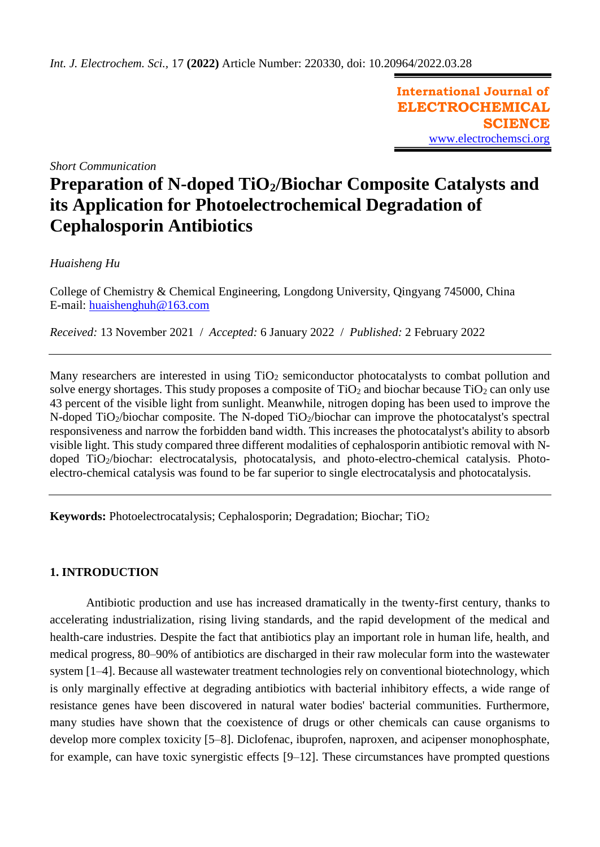**International Journal of ELECTROCHEMICAL SCIENCE** [www.electrochemsci.org](http://www.electrochemsci.org/)

*Short Communication*

# **Preparation of N-doped TiO2/Biochar Composite Catalysts and its Application for Photoelectrochemical Degradation of Cephalosporin Antibiotics**

# *Huaisheng Hu*

College of Chemistry & Chemical Engineering, Longdong University, Qingyang 745000, China E-mail: [huaishenghuh@163.com](mailto:huaishenghuh@163.com)

*Received:* 13 November 2021/ *Accepted:* 6 January 2022 / *Published:* 2 February 2022

Many researchers are interested in using TiO<sub>2</sub> semiconductor photocatalysts to combat pollution and solve energy shortages. This study proposes a composite of  $TiO<sub>2</sub>$  and biochar because  $TiO<sub>2</sub>$  can only use 43 percent of the visible light from sunlight. Meanwhile, nitrogen doping has been used to improve the N-doped TiO<sub>2</sub>/biochar composite. The N-doped TiO<sub>2</sub>/biochar can improve the photocatalyst's spectral responsiveness and narrow the forbidden band width. This increases the photocatalyst's ability to absorb visible light. This study compared three different modalities of cephalosporin antibiotic removal with Ndoped TiO2/biochar: electrocatalysis, photocatalysis, and photo-electro-chemical catalysis. Photoelectro-chemical catalysis was found to be far superior to single electrocatalysis and photocatalysis.

**Keywords:** Photoelectrocatalysis; Cephalosporin; Degradation; Biochar; TiO<sub>2</sub>

## **1. INTRODUCTION**

Antibiotic production and use has increased dramatically in the twenty-first century, thanks to accelerating industrialization, rising living standards, and the rapid development of the medical and health-care industries. Despite the fact that antibiotics play an important role in human life, health, and medical progress, 80–90% of antibiotics are discharged in their raw molecular form into the wastewater system [1–4]. Because all wastewater treatment technologies rely on conventional biotechnology, which is only marginally effective at degrading antibiotics with bacterial inhibitory effects, a wide range of resistance genes have been discovered in natural water bodies' bacterial communities. Furthermore, many studies have shown that the coexistence of drugs or other chemicals can cause organisms to develop more complex toxicity [5–8]. Diclofenac, ibuprofen, naproxen, and acipenser monophosphate, for example, can have toxic synergistic effects [9–12]. These circumstances have prompted questions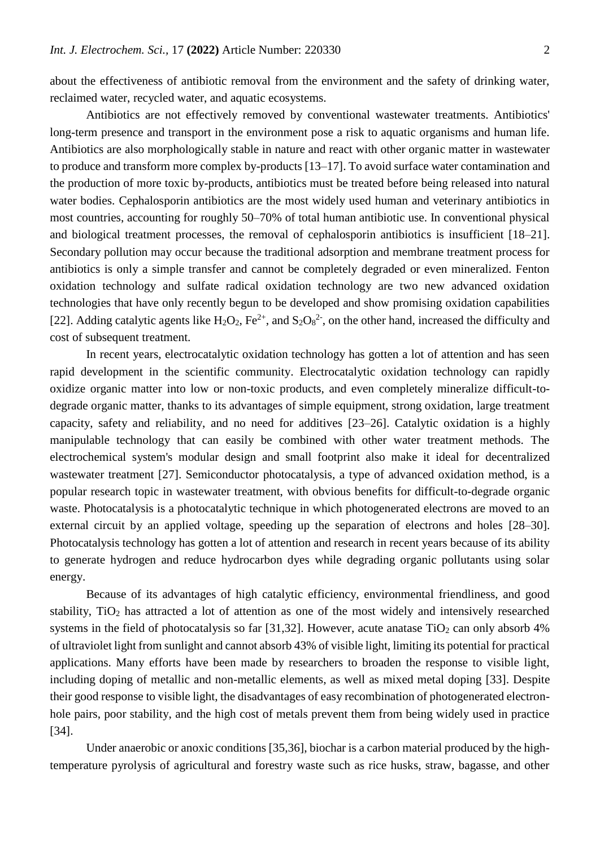about the effectiveness of antibiotic removal from the environment and the safety of drinking water, reclaimed water, recycled water, and aquatic ecosystems.

Antibiotics are not effectively removed by conventional wastewater treatments. Antibiotics' long-term presence and transport in the environment pose a risk to aquatic organisms and human life. Antibiotics are also morphologically stable in nature and react with other organic matter in wastewater to produce and transform more complex by-products [13–17]. To avoid surface water contamination and the production of more toxic by-products, antibiotics must be treated before being released into natural water bodies. Cephalosporin antibiotics are the most widely used human and veterinary antibiotics in most countries, accounting for roughly 50–70% of total human antibiotic use. In conventional physical and biological treatment processes, the removal of cephalosporin antibiotics is insufficient [18–21]. Secondary pollution may occur because the traditional adsorption and membrane treatment process for antibiotics is only a simple transfer and cannot be completely degraded or even mineralized. Fenton oxidation technology and sulfate radical oxidation technology are two new advanced oxidation technologies that have only recently begun to be developed and show promising oxidation capabilities [22]. Adding catalytic agents like  $H_2O_2$ ,  $Fe^{2+}$ , and  $S_2O_8^{2-}$ , on the other hand, increased the difficulty and cost of subsequent treatment.

In recent years, electrocatalytic oxidation technology has gotten a lot of attention and has seen rapid development in the scientific community. Electrocatalytic oxidation technology can rapidly oxidize organic matter into low or non-toxic products, and even completely mineralize difficult-todegrade organic matter, thanks to its advantages of simple equipment, strong oxidation, large treatment capacity, safety and reliability, and no need for additives [23–26]. Catalytic oxidation is a highly manipulable technology that can easily be combined with other water treatment methods. The electrochemical system's modular design and small footprint also make it ideal for decentralized wastewater treatment [27]. Semiconductor photocatalysis, a type of advanced oxidation method, is a popular research topic in wastewater treatment, with obvious benefits for difficult-to-degrade organic waste. Photocatalysis is a photocatalytic technique in which photogenerated electrons are moved to an external circuit by an applied voltage, speeding up the separation of electrons and holes [28–30]. Photocatalysis technology has gotten a lot of attention and research in recent years because of its ability to generate hydrogen and reduce hydrocarbon dyes while degrading organic pollutants using solar energy.

Because of its advantages of high catalytic efficiency, environmental friendliness, and good stability,  $TiO<sub>2</sub>$  has attracted a lot of attention as one of the most widely and intensively researched systems in the field of photocatalysis so far [31,32]. However, acute anatase TiO<sub>2</sub> can only absorb  $4\%$ of ultraviolet light from sunlight and cannot absorb 43% of visible light, limiting its potential for practical applications. Many efforts have been made by researchers to broaden the response to visible light, including doping of metallic and non-metallic elements, as well as mixed metal doping [33]. Despite their good response to visible light, the disadvantages of easy recombination of photogenerated electronhole pairs, poor stability, and the high cost of metals prevent them from being widely used in practice [34].

Under anaerobic or anoxic conditions [35,36], biochar is a carbon material produced by the hightemperature pyrolysis of agricultural and forestry waste such as rice husks, straw, bagasse, and other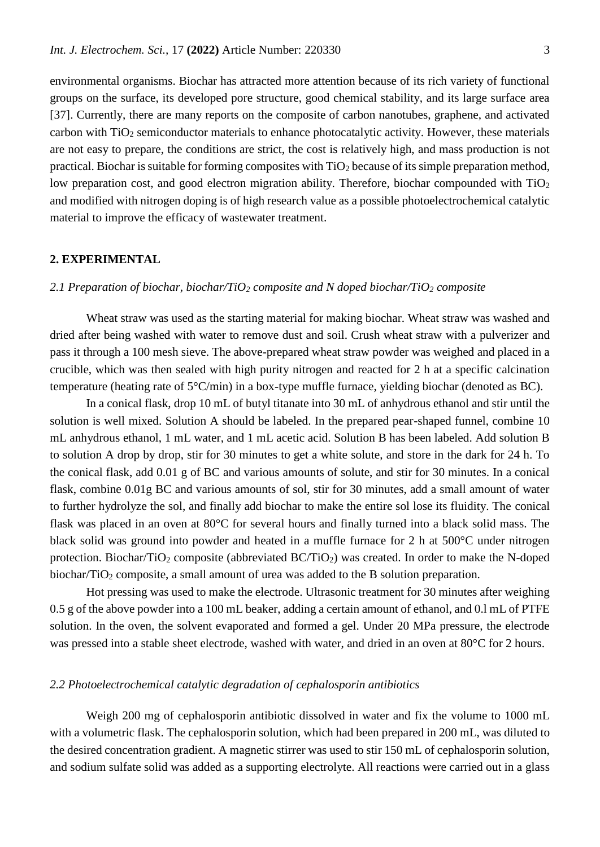environmental organisms. Biochar has attracted more attention because of its rich variety of functional groups on the surface, its developed pore structure, good chemical stability, and its large surface area [37]. Currently, there are many reports on the composite of carbon nanotubes, graphene, and activated carbon with TiO<sub>2</sub> semiconductor materials to enhance photocatalytic activity. However, these materials are not easy to prepare, the conditions are strict, the cost is relatively high, and mass production is not practical. Biochar is suitable for forming composites with  $TiO<sub>2</sub>$  because of its simple preparation method, low preparation cost, and good electron migration ability. Therefore, biochar compounded with TiO<sub>2</sub> and modified with nitrogen doping is of high research value as a possible photoelectrochemical catalytic material to improve the efficacy of wastewater treatment.

## **2. EXPERIMENTAL**

## *2.1 Preparation of biochar, biochar/TiO<sup>2</sup> composite and N doped biochar/TiO<sup>2</sup> composite*

Wheat straw was used as the starting material for making biochar. Wheat straw was washed and dried after being washed with water to remove dust and soil. Crush wheat straw with a pulverizer and pass it through a 100 mesh sieve. The above-prepared wheat straw powder was weighed and placed in a crucible, which was then sealed with high purity nitrogen and reacted for 2 h at a specific calcination temperature (heating rate of 5°C/min) in a box-type muffle furnace, yielding biochar (denoted as BC).

In a conical flask, drop 10 mL of butyl titanate into 30 mL of anhydrous ethanol and stir until the solution is well mixed. Solution A should be labeled. In the prepared pear-shaped funnel, combine 10 mL anhydrous ethanol, 1 mL water, and 1 mL acetic acid. Solution B has been labeled. Add solution B to solution A drop by drop, stir for 30 minutes to get a white solute, and store in the dark for 24 h. To the conical flask, add 0.01 g of BC and various amounts of solute, and stir for 30 minutes. In a conical flask, combine 0.01g BC and various amounts of sol, stir for 30 minutes, add a small amount of water to further hydrolyze the sol, and finally add biochar to make the entire sol lose its fluidity. The conical flask was placed in an oven at 80°C for several hours and finally turned into a black solid mass. The black solid was ground into powder and heated in a muffle furnace for 2 h at 500°C under nitrogen protection. Biochar/TiO<sub>2</sub> composite (abbreviated  $BC/TiO<sub>2</sub>$ ) was created. In order to make the N-doped biochar/ $TiO<sub>2</sub>$  composite, a small amount of urea was added to the B solution preparation.

Hot pressing was used to make the electrode. Ultrasonic treatment for 30 minutes after weighing 0.5 g of the above powder into a 100 mL beaker, adding a certain amount of ethanol, and 0.l mL of PTFE solution. In the oven, the solvent evaporated and formed a gel. Under 20 MPa pressure, the electrode was pressed into a stable sheet electrode, washed with water, and dried in an oven at 80°C for 2 hours.

## *2.2 Photoelectrochemical catalytic degradation of cephalosporin antibiotics*

Weigh 200 mg of cephalosporin antibiotic dissolved in water and fix the volume to 1000 mL with a volumetric flask. The cephalosporin solution, which had been prepared in 200 mL, was diluted to the desired concentration gradient. A magnetic stirrer was used to stir 150 mL of cephalosporin solution, and sodium sulfate solid was added as a supporting electrolyte. All reactions were carried out in a glass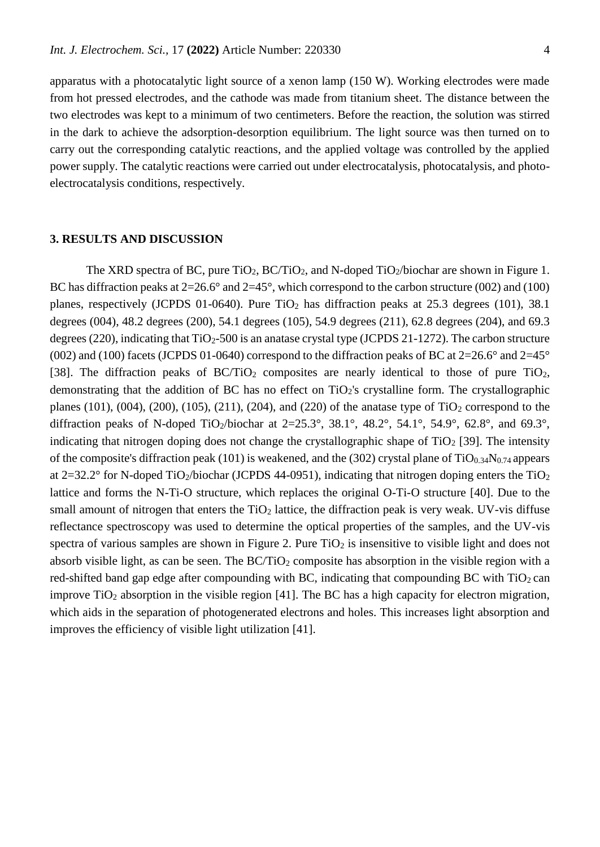apparatus with a photocatalytic light source of a xenon lamp (150 W). Working electrodes were made from hot pressed electrodes, and the cathode was made from titanium sheet. The distance between the two electrodes was kept to a minimum of two centimeters. Before the reaction, the solution was stirred in the dark to achieve the adsorption-desorption equilibrium. The light source was then turned on to carry out the corresponding catalytic reactions, and the applied voltage was controlled by the applied power supply. The catalytic reactions were carried out under electrocatalysis, photocatalysis, and photoelectrocatalysis conditions, respectively.

#### **3. RESULTS AND DISCUSSION**

The XRD spectra of BC, pure  $TiO<sub>2</sub>$ , BC/TiO<sub>2</sub>, and N-doped TiO<sub>2</sub>/biochar are shown in Figure 1. BC has diffraction peaks at  $2=26.6^{\circ}$  and  $2=45^{\circ}$ , which correspond to the carbon structure (002) and (100) planes, respectively (JCPDS 01-0640). Pure  $TiO<sub>2</sub>$  has diffraction peaks at 25.3 degrees (101), 38.1 degrees (004), 48.2 degrees (200), 54.1 degrees (105), 54.9 degrees (211), 62.8 degrees (204), and 69.3 degrees (220), indicating that  $TiO<sub>2</sub>$ -500 is an anatase crystal type (JCPDS 21-1272). The carbon structure (002) and (100) facets (JCPDS 01-0640) correspond to the diffraction peaks of BC at  $2=26.6^{\circ}$  and  $2=45^{\circ}$ [38]. The diffraction peaks of  $BC/TiO<sub>2</sub>$  composites are nearly identical to those of pure TiO<sub>2</sub>, demonstrating that the addition of BC has no effect on TiO2's crystalline form. The crystallographic planes (101), (004), (200), (105), (211), (204), and (220) of the anatase type of  $TiO<sub>2</sub>$  correspond to the diffraction peaks of N-doped TiO<sub>2</sub>/biochar at  $2=25.3^\circ$ ,  $38.1^\circ$ ,  $48.2^\circ$ ,  $54.1^\circ$ ,  $54.9^\circ$ ,  $62.8^\circ$ , and  $69.3^\circ$ , indicating that nitrogen doping does not change the crystallographic shape of  $TiO<sub>2</sub>$  [39]. The intensity of the composite's diffraction peak (101) is weakened, and the (302) crystal plane of  $TiO<sub>0.34</sub>N<sub>0.74</sub>$  appears at  $2=32.2^{\circ}$  for N-doped TiO<sub>2</sub>/biochar (JCPDS 44-0951), indicating that nitrogen doping enters the TiO<sub>2</sub> lattice and forms the N-Ti-O structure, which replaces the original O-Ti-O structure [40]. Due to the small amount of nitrogen that enters the  $TiO<sub>2</sub>$  lattice, the diffraction peak is very weak. UV-vis diffuse reflectance spectroscopy was used to determine the optical properties of the samples, and the UV-vis spectra of various samples are shown in Figure 2. Pure  $TiO<sub>2</sub>$  is insensitive to visible light and does not absorb visible light, as can be seen. The  $BC/TiO<sub>2</sub>$  composite has absorption in the visible region with a red-shifted band gap edge after compounding with BC, indicating that compounding BC with  $TiO<sub>2</sub>$  can improve  $TiO<sub>2</sub>$  absorption in the visible region [41]. The BC has a high capacity for electron migration, which aids in the separation of photogenerated electrons and holes. This increases light absorption and improves the efficiency of visible light utilization [41].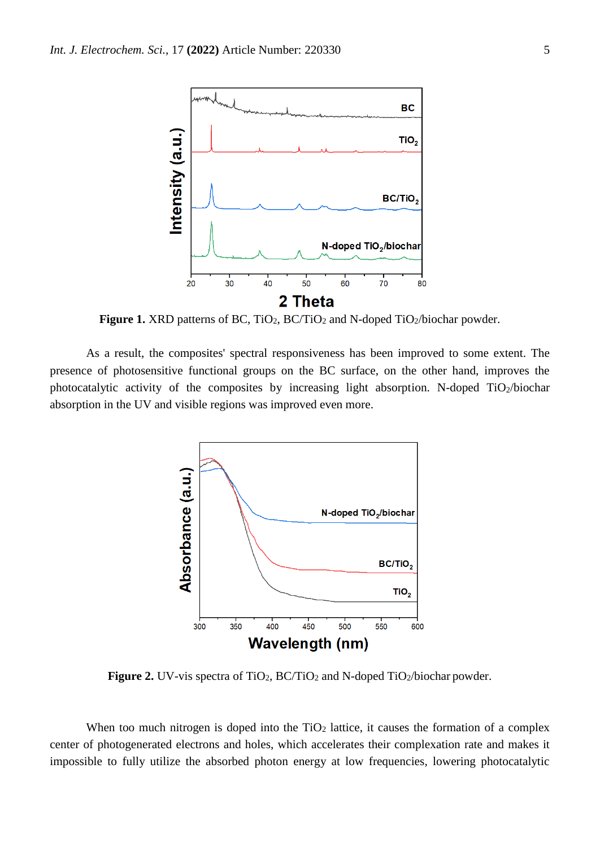

Figure 1. XRD patterns of BC, TiO<sub>2</sub>, BC/TiO<sub>2</sub> and N-doped TiO<sub>2</sub>/biochar powder.

As a result, the composites' spectral responsiveness has been improved to some extent. The presence of photosensitive functional groups on the BC surface, on the other hand, improves the photocatalytic activity of the composites by increasing light absorption. N-doped TiO2/biochar absorption in the UV and visible regions was improved even more.



**Figure 2.** UV-vis spectra of TiO<sub>2</sub>, BC/TiO<sub>2</sub> and N-doped TiO<sub>2</sub>/biochar powder.

When too much nitrogen is doped into the  $TiO<sub>2</sub>$  lattice, it causes the formation of a complex center of photogenerated electrons and holes, which accelerates their complexation rate and makes it impossible to fully utilize the absorbed photon energy at low frequencies, lowering photocatalytic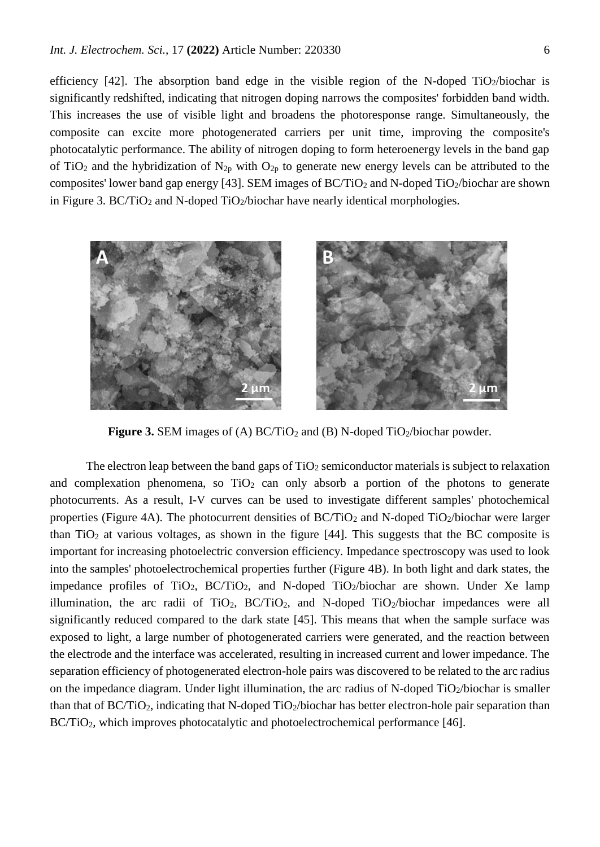efficiency [42]. The absorption band edge in the visible region of the N-doped TiO<sub>2</sub>/biochar is significantly redshifted, indicating that nitrogen doping narrows the composites' forbidden band width. This increases the use of visible light and broadens the photoresponse range. Simultaneously, the composite can excite more photogenerated carriers per unit time, improving the composite's photocatalytic performance. The ability of nitrogen doping to form heteroenergy levels in the band gap of TiO<sub>2</sub> and the hybridization of N<sub>2p</sub> with O<sub>2p</sub> to generate new energy levels can be attributed to the composites' lower band gap energy [43]. SEM images of  $BC/TiO<sub>2</sub>$  and N-doped TiO<sub>2</sub>/biochar are shown in Figure 3. BC/TiO<sub>2</sub> and N-doped TiO<sub>2</sub>/biochar have nearly identical morphologies.



**Figure 3.** SEM images of (A) BC/TiO<sub>2</sub> and (B) N-doped TiO<sub>2</sub>/biochar powder.

The electron leap between the band gaps of  $TiO<sub>2</sub>$  semiconductor materials is subject to relaxation and complexation phenomena, so  $TiO<sub>2</sub>$  can only absorb a portion of the photons to generate photocurrents. As a result, I-V curves can be used to investigate different samples' photochemical properties (Figure 4A). The photocurrent densities of  $BC/TiO<sub>2</sub>$  and N-doped TiO<sub>2</sub>/biochar were larger than  $TiO<sub>2</sub>$  at various voltages, as shown in the figure [44]. This suggests that the BC composite is important for increasing photoelectric conversion efficiency. Impedance spectroscopy was used to look into the samples' photoelectrochemical properties further (Figure 4B). In both light and dark states, the impedance profiles of TiO<sub>2</sub>, BC/TiO<sub>2</sub>, and N-doped TiO<sub>2</sub>/biochar are shown. Under Xe lamp illumination, the arc radii of  $TiO<sub>2</sub>$ ,  $BC/TiO<sub>2</sub>$ , and N-doped  $TiO<sub>2</sub>/biochar$  impedances were all significantly reduced compared to the dark state [45]. This means that when the sample surface was exposed to light, a large number of photogenerated carriers were generated, and the reaction between the electrode and the interface was accelerated, resulting in increased current and lower impedance. The separation efficiency of photogenerated electron-hole pairs was discovered to be related to the arc radius on the impedance diagram. Under light illumination, the arc radius of N-doped  $TiO<sub>2</sub>/biochar$  is smaller than that of  $BC/TiO<sub>2</sub>$ , indicating that N-doped TiO<sub>2</sub>/biochar has better electron-hole pair separation than BC/TiO<sub>2</sub>, which improves photocatalytic and photoelectrochemical performance [46].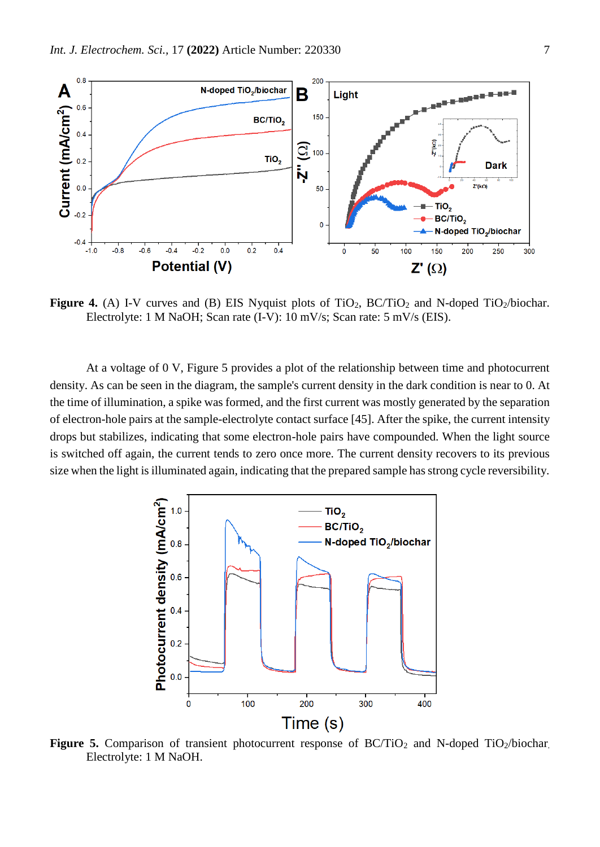

**Figure 4.** (A) I-V curves and (B) EIS Nyquist plots of  $TiO_2$ ,  $BC/TiO_2$  and N-doped  $TiO_2/biochar$ . Electrolyte: 1 M NaOH; Scan rate (I-V): 10 mV/s; Scan rate: 5 mV/s (EIS).

At a voltage of 0 V, Figure 5 provides a plot of the relationship between time and photocurrent density. As can be seen in the diagram, the sample's current density in the dark condition is near to 0. At the time of illumination, a spike was formed, and the first current was mostly generated by the separation of electron-hole pairs at the sample-electrolyte contact surface [45]. After the spike, the current intensity drops but stabilizes, indicating that some electron-hole pairs have compounded. When the light source is switched off again, the current tends to zero once more. The current density recovers to its previous size when the light is illuminated again, indicating that the prepared sample has strong cycle reversibility.



Figure 5. Comparison of transient photocurrent response of BC/TiO<sub>2</sub> and N-doped TiO<sub>2</sub>/biochar. Electrolyte: 1 M NaOH.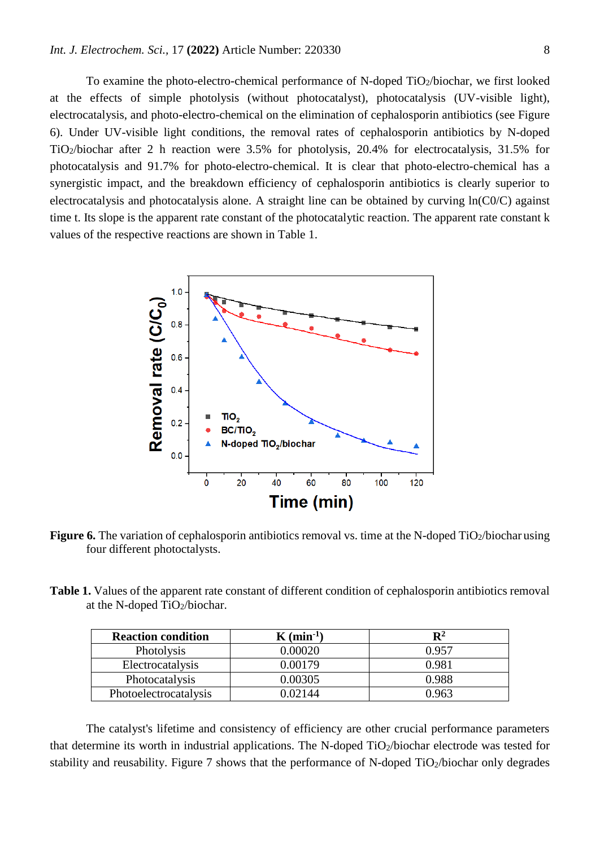To examine the photo-electro-chemical performance of N-doped TiO2/biochar, we first looked at the effects of simple photolysis (without photocatalyst), photocatalysis (UV-visible light), electrocatalysis, and photo-electro-chemical on the elimination of cephalosporin antibiotics (see Figure 6). Under UV-visible light conditions, the removal rates of cephalosporin antibiotics by N-doped TiO2/biochar after 2 h reaction were 3.5% for photolysis, 20.4% for electrocatalysis, 31.5% for photocatalysis and 91.7% for photo-electro-chemical. It is clear that photo-electro-chemical has a synergistic impact, and the breakdown efficiency of cephalosporin antibiotics is clearly superior to electrocatalysis and photocatalysis alone. A straight line can be obtained by curving ln(C0/C) against time t. Its slope is the apparent rate constant of the photocatalytic reaction. The apparent rate constant k values of the respective reactions are shown in Table 1.



**Figure 6.** The variation of cephalosporin antibiotics removal vs. time at the N-doped  $\text{TiO}_2/\text{biochar}$  using four different photoctalysts.

**Table 1.** Values of the apparent rate constant of different condition of cephalosporin antibiotics removal at the N-doped TiO2/biochar.

| <b>Reaction condition</b> | $K \text{ (min} \cdot 1)$ | $\mathbf{R}^2$ |
|---------------------------|---------------------------|----------------|
| <b>Photolysis</b>         | 0.00020                   | 0.957          |
| Electrocatalysis          | 0.00179                   | 0.981          |
| Photocatalysis            | 0.00305                   | 0.988          |
| Photoelectrocatalysis     | .02144                    | ) ዓ63          |

The catalyst's lifetime and consistency of efficiency are other crucial performance parameters that determine its worth in industrial applications. The N-doped  $TiO<sub>2</sub>/biochar$  electrode was tested for stability and reusability. Figure 7 shows that the performance of N-doped TiO<sub>2</sub>/biochar only degrades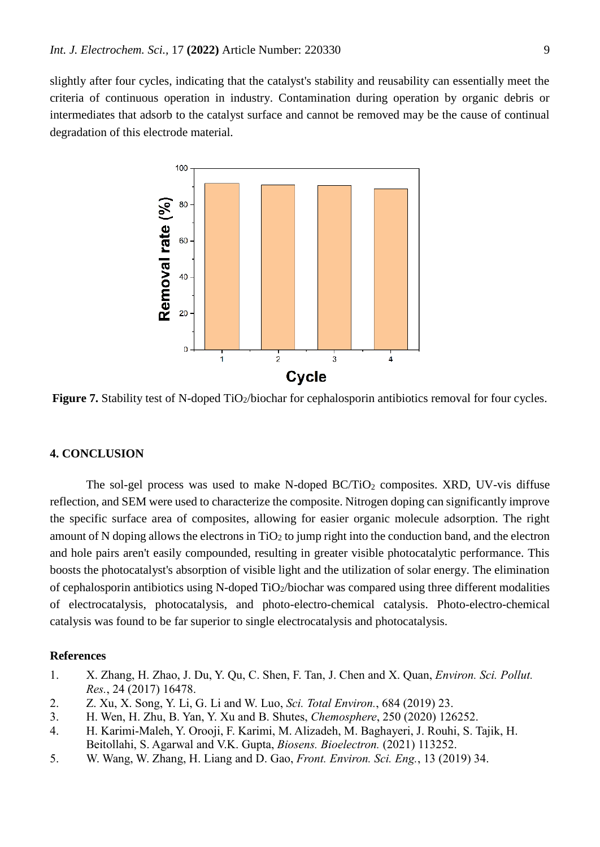slightly after four cycles, indicating that the catalyst's stability and reusability can essentially meet the criteria of continuous operation in industry. Contamination during operation by organic debris or intermediates that adsorb to the catalyst surface and cannot be removed may be the cause of continual degradation of this electrode material.



Figure 7. Stability test of N-doped TiO<sub>2</sub>/biochar for cephalosporin antibiotics removal for four cycles.

## **4. CONCLUSION**

The sol-gel process was used to make N-doped  $BC/TiO<sub>2</sub>$  composites. XRD, UV-vis diffuse reflection, and SEM were used to characterize the composite. Nitrogen doping can significantly improve the specific surface area of composites, allowing for easier organic molecule adsorption. The right amount of N doping allows the electrons in  $TiO<sub>2</sub>$  to jump right into the conduction band, and the electron and hole pairs aren't easily compounded, resulting in greater visible photocatalytic performance. This boosts the photocatalyst's absorption of visible light and the utilization of solar energy. The elimination of cephalosporin antibiotics using N-doped  $TiO<sub>2</sub>/biochar$  was compared using three different modalities of electrocatalysis, photocatalysis, and photo-electro-chemical catalysis. Photo-electro-chemical catalysis was found to be far superior to single electrocatalysis and photocatalysis.

## **References**

- 1. X. Zhang, H. Zhao, J. Du, Y. Qu, C. Shen, F. Tan, J. Chen and X. Quan, *Environ. Sci. Pollut. Res.*, 24 (2017) 16478.
- 2. Z. Xu, X. Song, Y. Li, G. Li and W. Luo, *Sci. Total Environ.*, 684 (2019) 23.
- 3. H. Wen, H. Zhu, B. Yan, Y. Xu and B. Shutes, *Chemosphere*, 250 (2020) 126252.
- 4. H. Karimi-Maleh, Y. Orooji, F. Karimi, M. Alizadeh, M. Baghayeri, J. Rouhi, S. Tajik, H. Beitollahi, S. Agarwal and V.K. Gupta, *Biosens. Bioelectron.* (2021) 113252.
- 5. W. Wang, W. Zhang, H. Liang and D. Gao, *Front. Environ. Sci. Eng.*, 13 (2019) 34.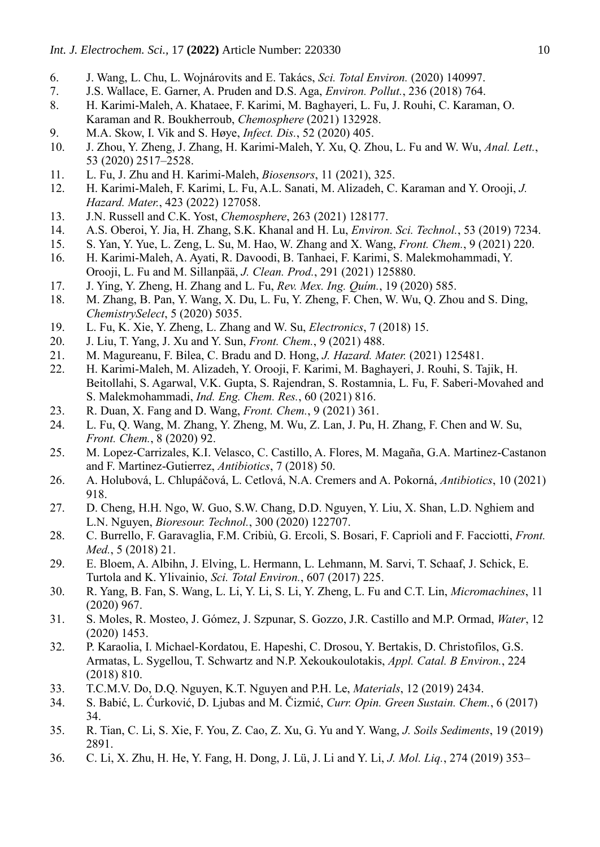- 6. J. Wang, L. Chu, L. Wojnárovits and E. Takács, *Sci. Total Environ.* (2020) 140997.
- 7. J.S. Wallace, E. Garner, A. Pruden and D.S. Aga, *Environ. Pollut.*, 236 (2018) 764.
- 8. H. Karimi-Maleh, A. Khataee, F. Karimi, M. Baghayeri, L. Fu, J. Rouhi, C. Karaman, O. Karaman and R. Boukherroub, *Chemosphere* (2021) 132928.
- 9. M.A. Skow, I. Vik and S. Høye, *Infect. Dis.*, 52 (2020) 405.
- 10. J. Zhou, Y. Zheng, J. Zhang, H. Karimi-Maleh, Y. Xu, Q. Zhou, L. Fu and W. Wu, *Anal. Lett.*, 53 (2020) 2517–2528.
- 11. L. Fu, J. Zhu and H. Karimi-Maleh, *Biosensors*, 11 (2021), 325.
- 12. H. Karimi-Maleh, F. Karimi, L. Fu, A.L. Sanati, M. Alizadeh, C. Karaman and Y. Orooji, *J. Hazard. Mater.*, 423 (2022) 127058.
- 13. J.N. Russell and C.K. Yost, *Chemosphere*, 263 (2021) 128177.
- 14. A.S. Oberoi, Y. Jia, H. Zhang, S.K. Khanal and H. Lu, *Environ. Sci. Technol.*, 53 (2019) 7234.
- 15. S. Yan, Y. Yue, L. Zeng, L. Su, M. Hao, W. Zhang and X. Wang, *Front. Chem.*, 9 (2021) 220.
- 16. H. Karimi-Maleh, A. Ayati, R. Davoodi, B. Tanhaei, F. Karimi, S. Malekmohammadi, Y. Orooji, L. Fu and M. Sillanpää, *J. Clean. Prod.*, 291 (2021) 125880.
- 17. J. Ying, Y. Zheng, H. Zhang and L. Fu, *Rev. Mex. Ing. Quím.*, 19 (2020) 585.
- 18. M. Zhang, B. Pan, Y. Wang, X. Du, L. Fu, Y. Zheng, F. Chen, W. Wu, Q. Zhou and S. Ding, *ChemistrySelect*, 5 (2020) 5035.
- 19. L. Fu, K. Xie, Y. Zheng, L. Zhang and W. Su, *Electronics*, 7 (2018) 15.
- 20. J. Liu, T. Yang, J. Xu and Y. Sun, *Front. Chem.*, 9 (2021) 488.
- 21. M. Magureanu, F. Bilea, C. Bradu and D. Hong, *J. Hazard. Mater.* (2021) 125481.
- 22. H. Karimi-Maleh, M. Alizadeh, Y. Orooji, F. Karimi, M. Baghayeri, J. Rouhi, S. Tajik, H. Beitollahi, S. Agarwal, V.K. Gupta, S. Rajendran, S. Rostamnia, L. Fu, F. Saberi-Movahed and S. Malekmohammadi, *Ind. Eng. Chem. Res.*, 60 (2021) 816.
- 23. R. Duan, X. Fang and D. Wang, *Front. Chem.*, 9 (2021) 361.
- 24. L. Fu, Q. Wang, M. Zhang, Y. Zheng, M. Wu, Z. Lan, J. Pu, H. Zhang, F. Chen and W. Su, *Front. Chem.*, 8 (2020) 92.
- 25. M. Lopez-Carrizales, K.I. Velasco, C. Castillo, A. Flores, M. Magaña, G.A. Martinez-Castanon and F. Martinez-Gutierrez, *Antibiotics*, 7 (2018) 50.
- 26. A. Holubová, L. Chlupáčová, L. Cetlová, N.A. Cremers and A. Pokorná, *Antibiotics*, 10 (2021) 918.
- 27. D. Cheng, H.H. Ngo, W. Guo, S.W. Chang, D.D. Nguyen, Y. Liu, X. Shan, L.D. Nghiem and L.N. Nguyen, *Bioresour. Technol.*, 300 (2020) 122707.
- 28. C. Burrello, F. Garavaglia, F.M. Cribiù, G. Ercoli, S. Bosari, F. Caprioli and F. Facciotti, *Front. Med.*, 5 (2018) 21.
- 29. E. Bloem, A. Albihn, J. Elving, L. Hermann, L. Lehmann, M. Sarvi, T. Schaaf, J. Schick, E. Turtola and K. Ylivainio, *Sci. Total Environ.*, 607 (2017) 225.
- 30. R. Yang, B. Fan, S. Wang, L. Li, Y. Li, S. Li, Y. Zheng, L. Fu and C.T. Lin, *Micromachines*, 11 (2020) 967.
- 31. S. Moles, R. Mosteo, J. Gómez, J. Szpunar, S. Gozzo, J.R. Castillo and M.P. Ormad, *Water*, 12 (2020) 1453.
- 32. P. Karaolia, I. Michael-Kordatou, E. Hapeshi, C. Drosou, Y. Bertakis, D. Christofilos, G.S. Armatas, L. Sygellou, T. Schwartz and N.P. Xekoukoulotakis, *Appl. Catal. B Environ.*, 224 (2018) 810.
- 33. T.C.M.V. Do, D.Q. Nguyen, K.T. Nguyen and P.H. Le, *Materials*, 12 (2019) 2434.
- 34. S. Babić, L. Ćurković, D. Ljubas and M. Čizmić, *Curr. Opin. Green Sustain. Chem.*, 6 (2017) 34.
- 35. R. Tian, C. Li, S. Xie, F. You, Z. Cao, Z. Xu, G. Yu and Y. Wang, *J. Soils Sediments*, 19 (2019) 2891.
- 36. C. Li, X. Zhu, H. He, Y. Fang, H. Dong, J. Lü, J. Li and Y. Li, *J. Mol. Liq.*, 274 (2019) 353–